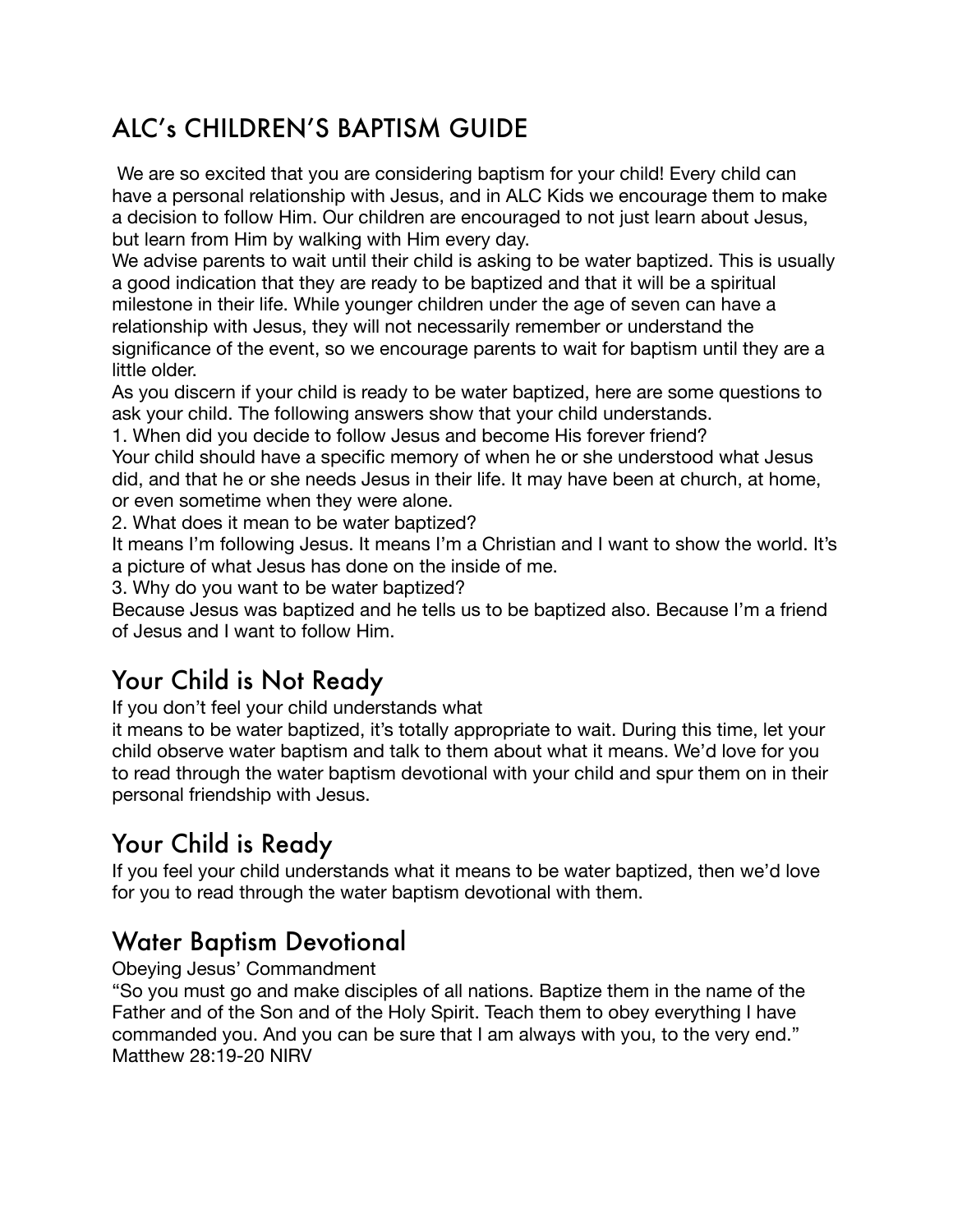# ALC's CHILDREN'S BAPTISM GUIDE

We are so excited that you are considering baptism for your child! Every child can have a personal relationship with Jesus, and in ALC Kids we encourage them to make a decision to follow Him. Our children are encouraged to not just learn about Jesus, but learn from Him by walking with Him every day.

We advise parents to wait until their child is asking to be water baptized. This is usually a good indication that they are ready to be baptized and that it will be a spiritual milestone in their life. While younger children under the age of seven can have a relationship with Jesus, they will not necessarily remember or understand the significance of the event, so we encourage parents to wait for baptism until they are a little older.

As you discern if your child is ready to be water baptized, here are some questions to ask your child. The following answers show that your child understands.

1. When did you decide to follow Jesus and become His forever friend?

Your child should have a specific memory of when he or she understood what Jesus did, and that he or she needs Jesus in their life. It may have been at church, at home, or even sometime when they were alone.

2. What does it mean to be water baptized?

It means I'm following Jesus. It means I'm a Christian and I want to show the world. It's a picture of what Jesus has done on the inside of me.

3. Why do you want to be water baptized?

Because Jesus was baptized and he tells us to be baptized also. Because I'm a friend of Jesus and I want to follow Him.

# Your Child is Not Ready

If you don't feel your child understands what

it means to be water baptized, it's totally appropriate to wait. During this time, let your child observe water baptism and talk to them about what it means. We'd love for you to read through the water baptism devotional with your child and spur them on in their personal friendship with Jesus.

## Your Child is Ready

If you feel your child understands what it means to be water baptized, then we'd love for you to read through the water baptism devotional with them.

#### Water Baptism Devotional

Obeying Jesus' Commandment

"So you must go and make disciples of all nations. Baptize them in the name of the Father and of the Son and of the Holy Spirit. Teach them to obey everything I have commanded you. And you can be sure that I am always with you, to the very end." Matthew 28:19-20 NIRV